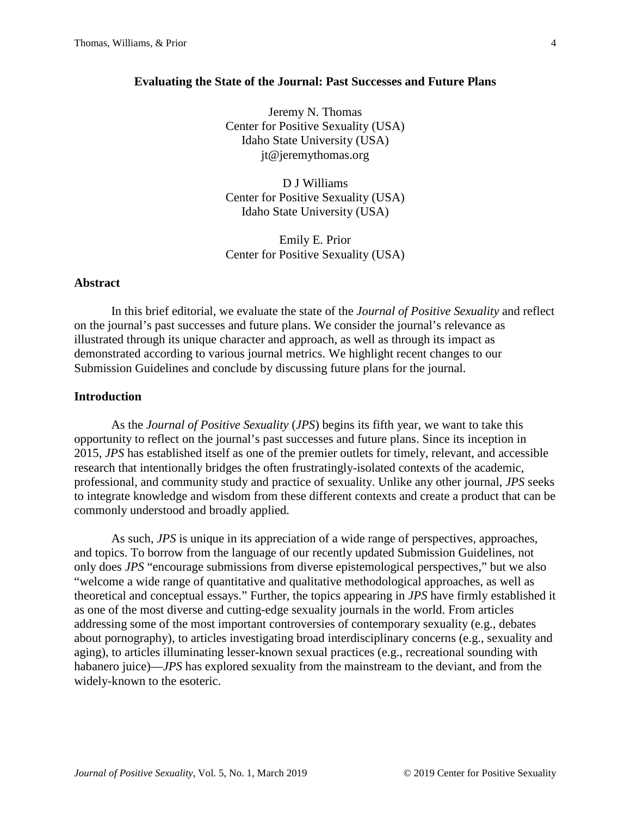### **Evaluating the State of the Journal: Past Successes and Future Plans**

Jeremy N. Thomas Center for Positive Sexuality (USA) Idaho State University (USA) jt@jeremythomas.org

D J Williams Center for Positive Sexuality (USA) Idaho State University (USA)

Emily E. Prior Center for Positive Sexuality (USA)

## **Abstract**

In this brief editorial, we evaluate the state of the *Journal of Positive Sexuality* and reflect on the journal's past successes and future plans. We consider the journal's relevance as illustrated through its unique character and approach, as well as through its impact as demonstrated according to various journal metrics. We highlight recent changes to our Submission Guidelines and conclude by discussing future plans for the journal.

# **Introduction**

As the *Journal of Positive Sexuality* (*JPS*) begins its fifth year, we want to take this opportunity to reflect on the journal's past successes and future plans. Since its inception in 2015, *JPS* has established itself as one of the premier outlets for timely, relevant, and accessible research that intentionally bridges the often frustratingly-isolated contexts of the academic, professional, and community study and practice of sexuality. Unlike any other journal, *JPS* seeks to integrate knowledge and wisdom from these different contexts and create a product that can be commonly understood and broadly applied.

As such, *JPS* is unique in its appreciation of a wide range of perspectives, approaches, and topics. To borrow from the language of our recently updated Submission Guidelines, not only does *JPS* "encourage submissions from diverse epistemological perspectives," but we also "welcome a wide range of quantitative and qualitative methodological approaches, as well as theoretical and conceptual essays." Further, the topics appearing in *JPS* have firmly established it as one of the most diverse and cutting-edge sexuality journals in the world. From articles addressing some of the most important controversies of contemporary sexuality (e.g., debates about pornography), to articles investigating broad interdisciplinary concerns (e.g., sexuality and aging), to articles illuminating lesser-known sexual practices (e.g., recreational sounding with habanero juice)—*JPS* has explored sexuality from the mainstream to the deviant, and from the widely-known to the esoteric.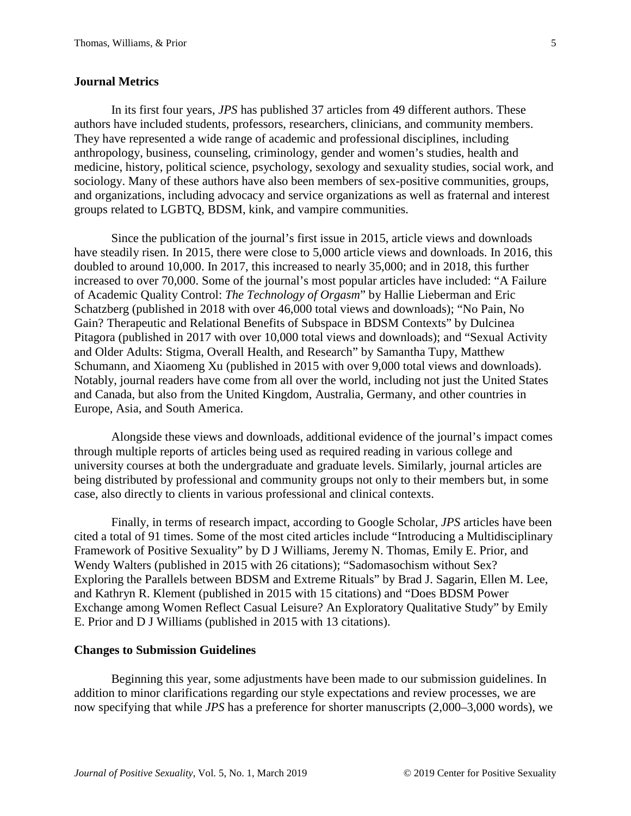## **Journal Metrics**

In its first four years, *JPS* has published 37 articles from 49 different authors. These authors have included students, professors, researchers, clinicians, and community members. They have represented a wide range of academic and professional disciplines, including anthropology, business, counseling, criminology, gender and women's studies, health and medicine, history, political science, psychology, sexology and sexuality studies, social work, and sociology. Many of these authors have also been members of sex-positive communities, groups, and organizations, including advocacy and service organizations as well as fraternal and interest groups related to LGBTQ, BDSM, kink, and vampire communities.

Since the publication of the journal's first issue in 2015, article views and downloads have steadily risen. In 2015, there were close to 5,000 article views and downloads. In 2016, this doubled to around 10,000. In 2017, this increased to nearly 35,000; and in 2018, this further increased to over 70,000. Some of the journal's most popular articles have included: "A Failure of Academic Quality Control: *The Technology of Orgasm*" by Hallie Lieberman and Eric Schatzberg (published in 2018 with over 46,000 total views and downloads); "No Pain, No Gain? Therapeutic and Relational Benefits of Subspace in BDSM Contexts" by Dulcinea Pitagora (published in 2017 with over 10,000 total views and downloads); and "Sexual Activity and Older Adults: Stigma, Overall Health, and Research" by Samantha Tupy, Matthew Schumann, and Xiaomeng Xu (published in 2015 with over 9,000 total views and downloads). Notably, journal readers have come from all over the world, including not just the United States and Canada, but also from the United Kingdom, Australia, Germany, and other countries in Europe, Asia, and South America.

Alongside these views and downloads, additional evidence of the journal's impact comes through multiple reports of articles being used as required reading in various college and university courses at both the undergraduate and graduate levels. Similarly, journal articles are being distributed by professional and community groups not only to their members but, in some case, also directly to clients in various professional and clinical contexts.

Finally, in terms of research impact, according to Google Scholar, *JPS* articles have been cited a total of 91 times. Some of the most cited articles include "Introducing a Multidisciplinary Framework of Positive Sexuality" by D J Williams, Jeremy N. Thomas, Emily E. Prior, and Wendy Walters (published in 2015 with 26 citations); "Sadomasochism without Sex? Exploring the Parallels between BDSM and Extreme Rituals" by Brad J. Sagarin, Ellen M. Lee, and Kathryn R. Klement (published in 2015 with 15 citations) and "Does BDSM Power Exchange among Women Reflect Casual Leisure? An Exploratory Qualitative Study" by Emily E. Prior and D J Williams (published in 2015 with 13 citations).

#### **Changes to Submission Guidelines**

Beginning this year, some adjustments have been made to our submission guidelines. In addition to minor clarifications regarding our style expectations and review processes, we are now specifying that while *JPS* has a preference for shorter manuscripts (2,000–3,000 words), we